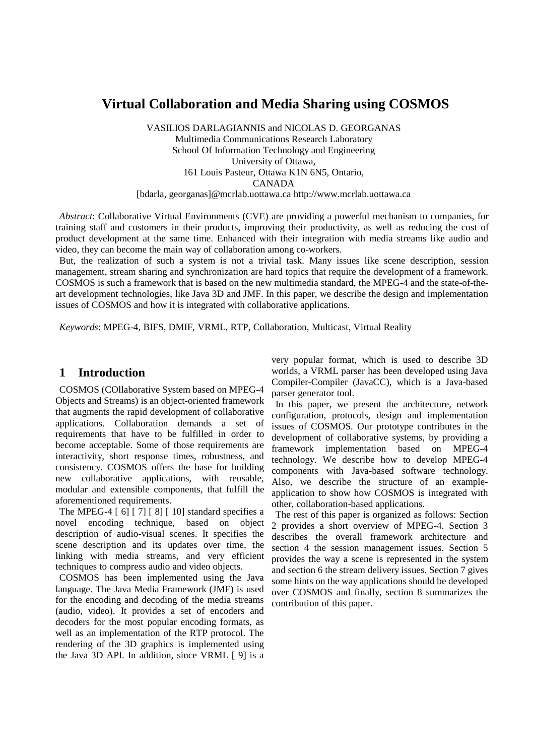# **Virtual Collaboration and Media Sharing using COSMOS**

VASILIOS DARLAGIANNIS and NICOLAS D. GEORGANAS Multimedia Communications Research Laboratory School Of Information Technology and Engineering University of Ottawa, 161 Louis Pasteur, Ottawa K1N 6N5, Ontario, CANADA [bdarla, georganas]@mcrlab.uottawa.ca http://www.mcrlab.uottawa.ca

*Abstract*: Collaborative Virtual Environments (CVE) are providing a powerful mechanism to companies, for training staff and customers in their products, improving their productivity, as well as reducing the cost of product development at the same time. Enhanced with their integration with media streams like audio and video, they can become the main way of collaboration among co-workers.

But, the realization of such a system is not a trivial task. Many issues like scene description, session management, stream sharing and synchronization are hard topics that require the development of a framework. COSMOS is such a framework that is based on the new multimedia standard, the MPEG-4 and the state-of-theart development technologies, like Java 3D and JMF. In this paper, we describe the design and implementation issues of COSMOS and how it is integrated with collaborative applications.

*Keywords*: MPEG-4, BIFS, DMIF, VRML, RTP, Collaboration, Multicast, Virtual Reality

#### **1 Introduction**

COSMOS (COllaborative System based on MPEG-4 Objects and Streams) is an object-oriented framework that augments the rapid development of collaborative applications. Collaboration demands a set of requirements that have to be fulfilled in order to become acceptable. Some of those requirements are interactivity, short response times, robustness, and consistency. COSMOS offers the base for building new collaborative applications, with reusable, modular and extensible components, that fulfill the aforementioned requirements.

The MPEG-4 [ 6] [ 7] [ 8] [ 10] standard specifies a novel encoding technique, based on object description of audio-visual scenes. It specifies the scene description and its updates over time, the linking with media streams, and very efficient techniques to compress audio and video objects.

COSMOS has been implemented using the Java language. The Java Media Framework (JMF) is used for the encoding and decoding of the media streams (audio, video). It provides a set of encoders and decoders for the most popular encoding formats, as well as an implementation of the RTP protocol. The rendering of the 3D graphics is implemented using the Java 3D API. In addition, since VRML [ 9] is a

very popular format, which is used to describe 3D worlds, a VRML parser has been developed using Java Compiler-Compiler (JavaCC), which is a Java-based parser generator tool.

In this paper, we present the architecture, network configuration, protocols, design and implementation issues of COSMOS. Our prototype contributes in the development of collaborative systems, by providing a framework implementation based on MPEG-4 technology. We describe how to develop MPEG-4 components with Java-based software technology. Also, we describe the structure of an exampleapplication to show how COSMOS is integrated with other, collaboration-based applications.

The rest of this paper is organized as follows: Section 2 provides a short overview of MPEG-4. Section 3 describes the overall framework architecture and section 4 the session management issues. Section 5 provides the way a scene is represented in the system and section 6 the stream delivery issues. Section 7 gives some hints on the way applications should be developed over COSMOS and finally, section 8 summarizes the contribution of this paper.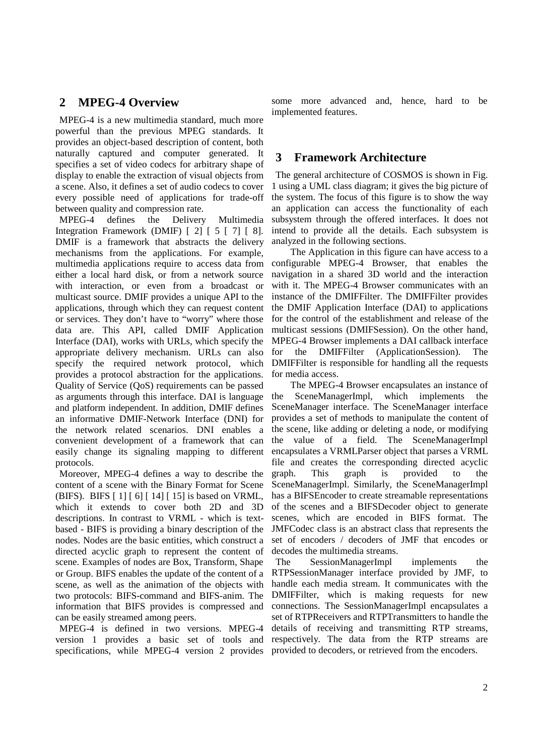### **2 MPEG-4 Overview**

MPEG-4 is a new multimedia standard, much more powerful than the previous MPEG standards. It provides an object-based description of content, both naturally captured and computer generated. It specifies a set of video codecs for arbitrary shape of display to enable the extraction of visual objects from a scene. Also, it defines a set of audio codecs to cover every possible need of applications for trade-off between quality and compression rate.

MPEG-4 defines the Delivery Multimedia Integration Framework (DMIF) [ 2] [ 5 [ 7] [ 8]. DMIF is a framework that abstracts the delivery mechanisms from the applications. For example, multimedia applications require to access data from either a local hard disk, or from a network source with interaction, or even from a broadcast or multicast source. DMIF provides a unique API to the applications, through which they can request content or services. They don't have to "worry" where those data are. This API, called DMIF Application Interface (DAI), works with URLs, which specify the appropriate delivery mechanism. URLs can also specify the required network protocol, which provides a protocol abstraction for the applications. Quality of Service (QoS) requirements can be passed as arguments through this interface. DAI is language and platform independent. In addition, DMIF defines an informative DMIF-Network Interface (DNI) for the network related scenarios. DNI enables a convenient development of a framework that can easily change its signaling mapping to different protocols.

Moreover, MPEG-4 defines a way to describe the content of a scene with the Binary Format for Scene (BIFS). BIFS [ 1] [ 6] [ 14] [ 15] is based on VRML, which it extends to cover both 2D and 3D descriptions. In contrast to VRML - which is textbased - BIFS is providing a binary description of the nodes. Nodes are the basic entities, which construct a directed acyclic graph to represent the content of scene. Examples of nodes are Box, Transform, Shape or Group. BIFS enables the update of the content of a scene, as well as the animation of the objects with two protocols: BIFS-command and BIFS-anim. The information that BIFS provides is compressed and can be easily streamed among peers.

MPEG-4 is defined in two versions. MPEG-4 version 1 provides a basic set of tools and specifications, while MPEG-4 version 2 provides

some more advanced and, hence, hard to be implemented features.

#### **3 Framework Architecture**

The general architecture of COSMOS is shown in Fig. 1 using a UML class diagram; it gives the big picture of the system. The focus of this figure is to show the way an application can access the functionality of each subsystem through the offered interfaces. It does not intend to provide all the details. Each subsystem is analyzed in the following sections.

The Application in this figure can have access to a configurable MPEG-4 Browser, that enables the navigation in a shared 3D world and the interaction with it. The MPEG-4 Browser communicates with an instance of the DMIFFilter. The DMIFFilter provides the DMIF Application Interface (DAI) to applications for the control of the establishment and release of the multicast sessions (DMIFSession). On the other hand, MPEG-4 Browser implements a DAI callback interface for the DMIFFilter (ApplicationSession). The DMIFFilter is responsible for handling all the requests for media access.

The MPEG-4 Browser encapsulates an instance of the SceneManagerImpl, which implements the SceneManager interface. The SceneManager interface provides a set of methods to manipulate the content of the scene, like adding or deleting a node, or modifying the value of a field. The SceneManagerImpl encapsulates a VRMLParser object that parses a VRML file and creates the corresponding directed acyclic graph. This graph is provided to the SceneManagerImpl. Similarly, the SceneManagerImpl has a BIFSEncoder to create streamable representations of the scenes and a BIFSDecoder object to generate scenes, which are encoded in BIFS format. The JMFCodec class is an abstract class that represents the set of encoders / decoders of JMF that encodes or decodes the multimedia streams.

The SessionManagerImpl implements the RTPSessionManager interface provided by JMF, to handle each media stream. It communicates with the DMIFFilter, which is making requests for new connections. The SessionManagerImpl encapsulates a set of RTPReceivers and RTPTransmitters to handle the details of receiving and transmitting RTP streams, respectively. The data from the RTP streams are provided to decoders, or retrieved from the encoders.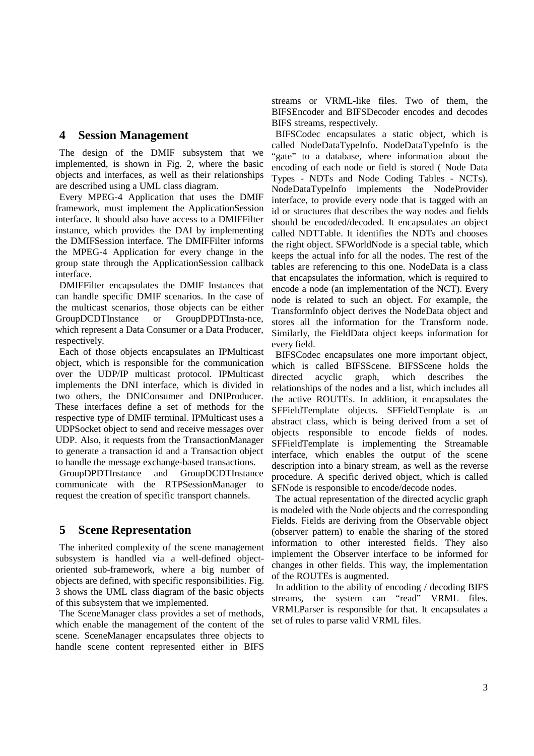#### **4 Session Management**

The design of the DMIF subsystem that we implemented, is shown in Fig. 2, where the basic objects and interfaces, as well as their relationships are described using a UML class diagram.

Every MPEG-4 Application that uses the DMIF framework, must implement the ApplicationSession interface. It should also have access to a DMIFFilter instance, which provides the DAI by implementing the DMIFSession interface. The DMIFFilter informs the MPEG-4 Application for every change in the group state through the ApplicationSession callback interface.

DMIFFilter encapsulates the DMIF Instances that can handle specific DMIF scenarios. In the case of the multicast scenarios, those objects can be either GroupDCDTInstance or GroupDPDTInsta-nce, which represent a Data Consumer or a Data Producer, respectively.

Each of those objects encapsulates an IPMulticast object, which is responsible for the communication over the UDP/IP multicast protocol. IPMulticast implements the DNI interface, which is divided in two others, the DNIConsumer and DNIProducer. These interfaces define a set of methods for the respective type of DMIF terminal. IPMulticast uses a UDPSocket object to send and receive messages over UDP. Also, it requests from the TransactionManager to generate a transaction id and a Transaction object to handle the message exchange-based transactions.

GroupDPDTInstance and GroupDCDTInstance communicate with the RTPSessionManager to request the creation of specific transport channels.

## **5 Scene Representation**

The inherited complexity of the scene management subsystem is handled via a well-defined objectoriented sub-framework, where a big number of objects are defined, with specific responsibilities. Fig. 3 shows the UML class diagram of the basic objects of this subsystem that we implemented.

The SceneManager class provides a set of methods, which enable the management of the content of the scene. SceneManager encapsulates three objects to handle scene content represented either in BIFS

streams or VRML-like files. Two of them, the BIFSEncoder and BIFSDecoder encodes and decodes BIFS streams, respectively.

BIFSCodec encapsulates a static object, which is called NodeDataTypeInfo. NodeDataTypeInfo is the "gate" to a database, where information about the encoding of each node or field is stored ( Node Data Types - NDTs and Node Coding Tables - NCTs). NodeDataTypeInfo implements the NodeProvider interface, to provide every node that is tagged with an id or structures that describes the way nodes and fields should be encoded/decoded. It encapsulates an object called NDTTable. It identifies the NDTs and chooses the right object. SFWorldNode is a special table, which keeps the actual info for all the nodes. The rest of the tables are referencing to this one. NodeData is a class that encapsulates the information, which is required to encode a node (an implementation of the NCT). Every node is related to such an object. For example, the TransformInfo object derives the NodeData object and stores all the information for the Transform node. Similarly, the FieldData object keeps information for every field.

BIFSCodec encapsulates one more important object, which is called BIFSScene. BIFSScene holds the directed acyclic graph, which describes the relationships of the nodes and a list, which includes all the active ROUTEs. In addition, it encapsulates the SFFieldTemplate objects. SFFieldTemplate is an abstract class, which is being derived from a set of objects responsible to encode fields of nodes. SFFieldTemplate is implementing the Streamable interface, which enables the output of the scene description into a binary stream, as well as the reverse procedure. A specific derived object, which is called SFNode is responsible to encode/decode nodes.

The actual representation of the directed acyclic graph is modeled with the Node objects and the corresponding Fields. Fields are deriving from the Observable object (observer pattern) to enable the sharing of the stored information to other interested fields. They also implement the Observer interface to be informed for changes in other fields. This way, the implementation of the ROUTEs is augmented.

In addition to the ability of encoding / decoding BIFS streams, the system can "read" VRML files. VRMLParser is responsible for that. It encapsulates a set of rules to parse valid VRML files.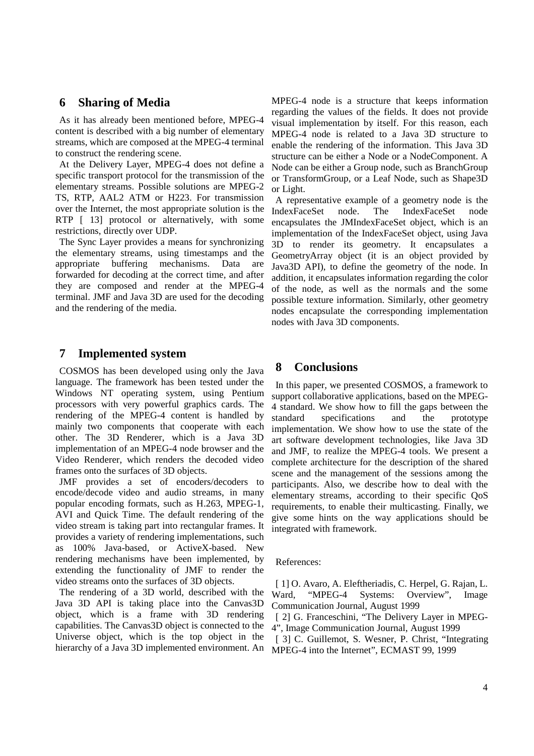#### **6 Sharing of Media**

As it has already been mentioned before, MPEG-4 content is described with a big number of elementary streams, which are composed at the MPEG-4 terminal to construct the rendering scene.

At the Delivery Layer, MPEG-4 does not define a specific transport protocol for the transmission of the elementary streams. Possible solutions are MPEG-2 TS, RTP, AAL2 ATM or H223. For transmission over the Internet, the most appropriate solution is the RTP [ 13] protocol or alternatively, with some restrictions, directly over UDP.

The Sync Layer provides a means for synchronizing the elementary streams, using timestamps and the appropriate buffering mechanisms. Data forwarded for decoding at the correct time, and after they are composed and render at the MPEG-4 terminal. JMF and Java 3D are used for the decoding and the rendering of the media.

#### **7 Implemented system**

COSMOS has been developed using only the Java language. The framework has been tested under the Windows NT operating system, using Pentium processors with very powerful graphics cards. The rendering of the MPEG-4 content is handled by mainly two components that cooperate with each other. The 3D Renderer, which is a Java 3D implementation of an MPEG-4 node browser and the Video Renderer, which renders the decoded video frames onto the surfaces of 3D objects.

JMF provides a set of encoders/decoders to encode/decode video and audio streams, in many popular encoding formats, such as H.263, MPEG-1, AVI and Quick Time. The default rendering of the video stream is taking part into rectangular frames. It provides a variety of rendering implementations, such as 100% Java-based, or ActiveX-based. New rendering mechanisms have been implemented, by extending the functionality of JMF to render the video streams onto the surfaces of 3D objects.

The rendering of a 3D world, described with the Java 3D API is taking place into the Canvas3D object, which is a frame with 3D rendering capabilities. The Canvas3D object is connected to the Universe object, which is the top object in the hierarchy of a Java 3D implemented environment. An

MPEG-4 node is a structure that keeps information regarding the values of the fields. It does not provide visual implementation by itself. For this reason, each MPEG-4 node is related to a Java 3D structure to enable the rendering of the information. This Java 3D structure can be either a Node or a NodeComponent. A Node can be either a Group node, such as BranchGroup or TransformGroup, or a Leaf Node, such as Shape3D or Light.

A representative example of a geometry node is the IndexFaceSet node. The IndexFaceSet node encapsulates the JMIndexFaceSet object, which is an implementation of the IndexFaceSet object, using Java 3D to render its geometry. It encapsulates a GeometryArray object (it is an object provided by Java3D API), to define the geometry of the node. In addition, it encapsulates information regarding the color of the node, as well as the normals and the some possible texture information. Similarly, other geometry nodes encapsulate the corresponding implementation nodes with Java 3D components.

#### **8 Conclusions**

In this paper, we presented COSMOS, a framework to support collaborative applications, based on the MPEG-4 standard. We show how to fill the gaps between the standard specifications and the prototype implementation. We show how to use the state of the art software development technologies, like Java 3D and JMF, to realize the MPEG-4 tools. We present a complete architecture for the description of the shared scene and the management of the sessions among the participants. Also, we describe how to deal with the elementary streams, according to their specific QoS requirements, to enable their multicasting. Finally, we give some hints on the way applications should be integrated with framework.

References:

[ 1] O. Avaro, A. Eleftheriadis, C. Herpel, G. Rajan, L. Ward, "MPEG-4 Systems: Overview", Image Communication Journal, August 1999

[ 2] G. Franceschini, "The Delivery Layer in MPEG-4", Image Communication Journal, August 1999

[ 3] C. Guillemot, S. Wesner, P. Christ, "Integrating MPEG-4 into the Internet", ECMAST 99, 1999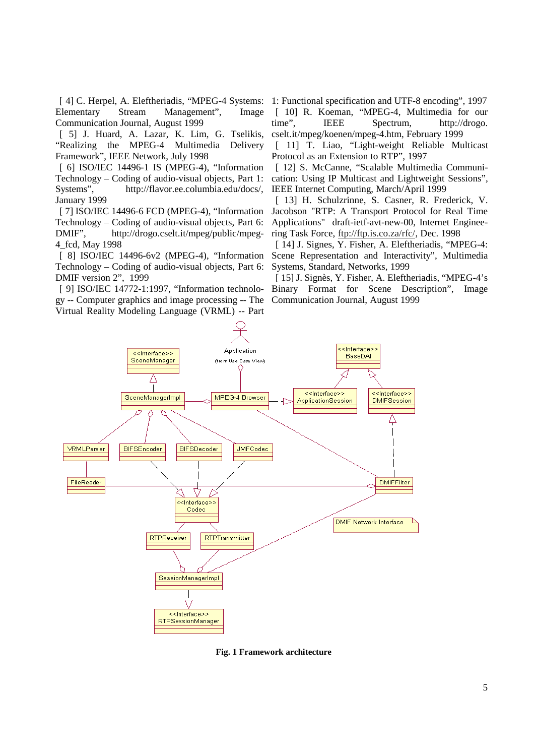Elementary Stream Management", Image Communication Journal, August 1999

[ 5] J. Huard, A. Lazar, K. Lim, G. Tselikis, "Realizing the MPEG-4 Multimedia Delivery Framework", IEEE Network, July 1998

[ 6] ISO/IEC 14496-1 IS (MPEG-4), "Information Technology – Coding of audio-visual objects, Part 1: Systems", http://flavor.ee.columbia.edu/docs/, January 1999

[ 7] ISO/IEC 14496-6 FCD (MPEG-4), "Information Technology – Coding of audio-visual objects, Part 6: DMIF", http://drogo.cselt.it/mpeg/public/mpeg-4\_fcd, May 1998

[ 8] ISO/IEC 14496-6v2 (MPEG-4), "Information Technology – Coding of audio-visual objects, Part 6: DMIF version 2", 1999

[ 9] ISO/IEC 14772-1:1997, "Information technology -- Computer graphics and image processing -- The Virtual Reality Modeling Language (VRML) -- Part

[ 4] C. Herpel, A. Eleftheriadis, "MPEG-4 Systems: 1: Functional specification and UTF-8 encoding", 1997 [ 10] R. Koeman, "MPEG-4, Multimedia for our time", IEEE Spectrum, http://drogo. cselt.it/mpeg/koenen/mpeg-4.htm, February 1999

> [ 11] T. Liao, "Light-weight Reliable Multicast" Protocol as an Extension to RTP", 1997

> [ 12] S. McCanne, "Scalable Multimedia Communication: Using IP Multicast and Lightweight Sessions", IEEE Internet Computing, March/April 1999

> [ 13] H. Schulzrinne, S. Casner, R. Frederick, V. Jacobson "RTP: A Transport Protocol for Real Time Applications" draft-ietf-avt-new-00, Internet Engineering Task Force, ftp://ftp.is.co.za/rfc/, Dec. 1998

> [ 14] J. Signes, Y. Fisher, A. Eleftheriadis, "MPEG-4: Scene Representation and Interactivity", Multimedia Systems, Standard, Networks, 1999

> [ 15] J. Signès, Y. Fisher, A. Eleftheriadis, "MPEG-4's Binary Format for Scene Description", Image Communication Journal, August 1999



**Fig. 1 Framework architecture**